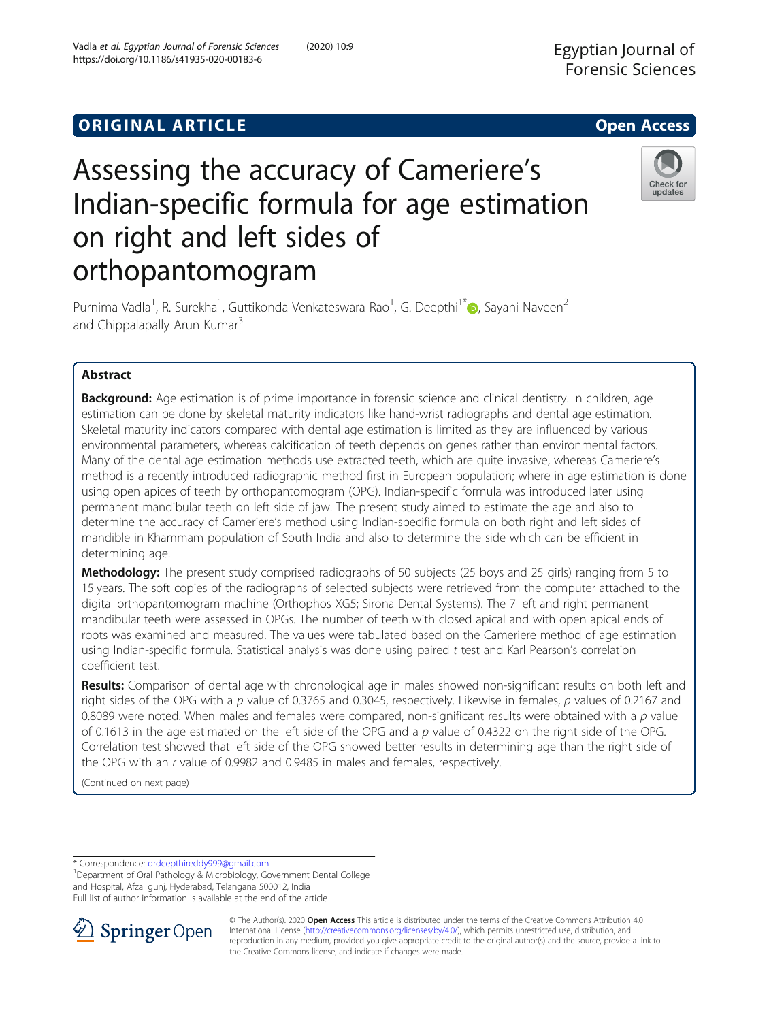



# Assessing the accuracy of Cameriere's Indian-specific formula for age estimation on right and left sides of orthopantomogram

Purnima Vadla<sup>1</sup>[,](http://orcid.org/0000-0001-6545-2399) R. Surekha<sup>1</sup>, Guttikonda Venkateswara Rao<sup>1</sup>, G. Deepthi<sup>1\*</sup>®, Sayani Naveen<sup>2</sup> and Chippalapally Arun Kumar<sup>3</sup>

# Abstract

**Background:** Age estimation is of prime importance in forensic science and clinical dentistry. In children, age estimation can be done by skeletal maturity indicators like hand-wrist radiographs and dental age estimation. Skeletal maturity indicators compared with dental age estimation is limited as they are influenced by various environmental parameters, whereas calcification of teeth depends on genes rather than environmental factors. Many of the dental age estimation methods use extracted teeth, which are quite invasive, whereas Cameriere's method is a recently introduced radiographic method first in European population; where in age estimation is done using open apices of teeth by orthopantomogram (OPG). Indian-specific formula was introduced later using permanent mandibular teeth on left side of jaw. The present study aimed to estimate the age and also to determine the accuracy of Cameriere's method using Indian-specific formula on both right and left sides of mandible in Khammam population of South India and also to determine the side which can be efficient in determining age.

Methodology: The present study comprised radiographs of 50 subjects (25 boys and 25 girls) ranging from 5 to 15 years. The soft copies of the radiographs of selected subjects were retrieved from the computer attached to the digital orthopantomogram machine (Orthophos XG5; Sirona Dental Systems). The 7 left and right permanent mandibular teeth were assessed in OPGs. The number of teeth with closed apical and with open apical ends of roots was examined and measured. The values were tabulated based on the Cameriere method of age estimation using Indian-specific formula. Statistical analysis was done using paired t test and Karl Pearson's correlation coefficient test.

Results: Comparison of dental age with chronological age in males showed non-significant results on both left and right sides of the OPG with a p value of 0.3765 and 0.3045, respectively. Likewise in females, p values of 0.2167 and 0.8089 were noted. When males and females were compared, non-significant results were obtained with a  $p$  value of 0.1613 in the age estimated on the left side of the OPG and a p value of 0.4322 on the right side of the OPG. Correlation test showed that left side of the OPG showed better results in determining age than the right side of the OPG with an r value of 0.9982 and 0.9485 in males and females, respectively.

(Continued on next page)

\* Correspondence: [drdeepthireddy999@gmail.com](mailto:drdeepthireddy999@gmail.com) <sup>1</sup>

<sup>1</sup>Department of Oral Pathology & Microbiology, Government Dental College and Hospital, Afzal gunj, Hyderabad, Telangana 500012, India Full list of author information is available at the end of the article



© The Author(s). 2020 Open Access This article is distributed under the terms of the Creative Commons Attribution 4.0 International License ([http://creativecommons.org/licenses/by/4.0/\)](http://creativecommons.org/licenses/by/4.0/), which permits unrestricted use, distribution, and reproduction in any medium, provided you give appropriate credit to the original author(s) and the source, provide a link to the Creative Commons license, and indicate if changes were made.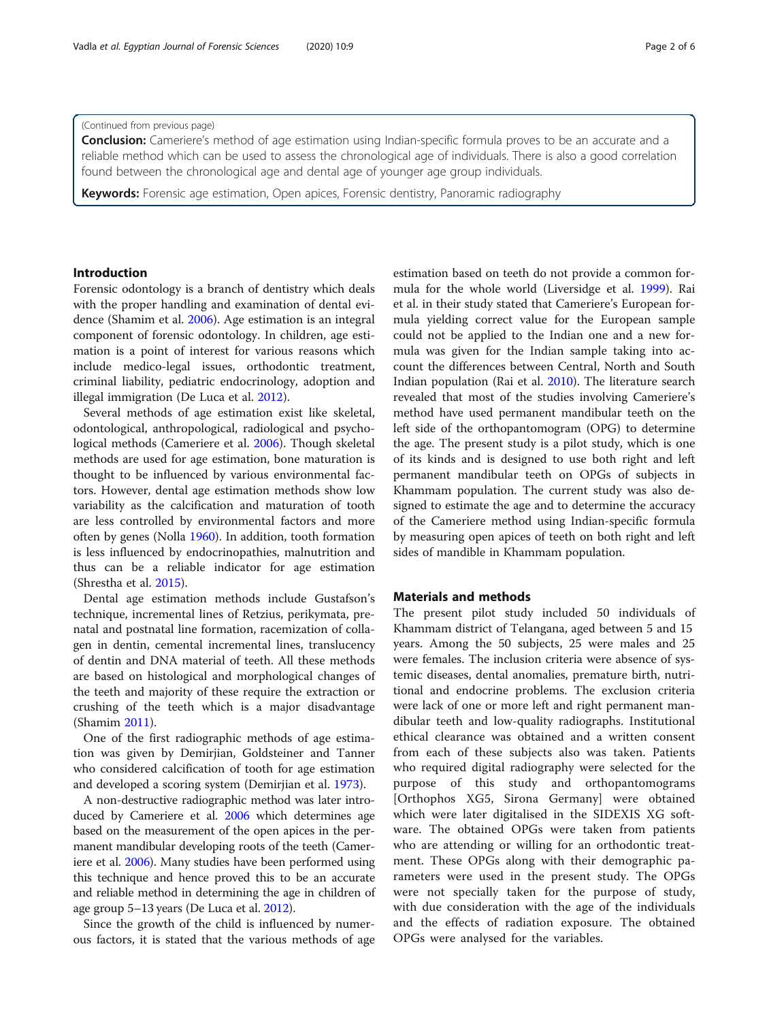## (Continued from previous page)

**Conclusion:** Cameriere's method of age estimation using Indian-specific formula proves to be an accurate and a reliable method which can be used to assess the chronological age of individuals. There is also a good correlation found between the chronological age and dental age of younger age group individuals.

**Keywords:** Forensic age estimation, Open apices, Forensic dentistry, Panoramic radiography

## Introduction

Forensic odontology is a branch of dentistry which deals with the proper handling and examination of dental evidence (Shamim et al. [2006](#page-5-0)). Age estimation is an integral component of forensic odontology. In children, age estimation is a point of interest for various reasons which include medico-legal issues, orthodontic treatment, criminal liability, pediatric endocrinology, adoption and illegal immigration (De Luca et al. [2012](#page-4-0)).

Several methods of age estimation exist like skeletal, odontological, anthropological, radiological and psychological methods (Cameriere et al. [2006](#page-4-0)). Though skeletal methods are used for age estimation, bone maturation is thought to be influenced by various environmental factors. However, dental age estimation methods show low variability as the calcification and maturation of tooth are less controlled by environmental factors and more often by genes (Nolla [1960\)](#page-5-0). In addition, tooth formation is less influenced by endocrinopathies, malnutrition and thus can be a reliable indicator for age estimation (Shrestha et al. [2015](#page-5-0)).

Dental age estimation methods include Gustafson's technique, incremental lines of Retzius, perikymata, prenatal and postnatal line formation, racemization of collagen in dentin, cemental incremental lines, translucency of dentin and DNA material of teeth. All these methods are based on histological and morphological changes of the teeth and majority of these require the extraction or crushing of the teeth which is a major disadvantage (Shamim [2011](#page-5-0)).

One of the first radiographic methods of age estimation was given by Demirjian, Goldsteiner and Tanner who considered calcification of tooth for age estimation and developed a scoring system (Demirjian et al. [1973](#page-4-0)).

A non-destructive radiographic method was later introduced by Cameriere et al. [2006](#page-4-0) which determines age based on the measurement of the open apices in the permanent mandibular developing roots of the teeth (Cameriere et al. [2006\)](#page-4-0). Many studies have been performed using this technique and hence proved this to be an accurate and reliable method in determining the age in children of age group 5–13 years (De Luca et al. [2012\)](#page-4-0).

Since the growth of the child is influenced by numerous factors, it is stated that the various methods of age estimation based on teeth do not provide a common formula for the whole world (Liversidge et al. [1999\)](#page-4-0). Rai et al. in their study stated that Cameriere's European formula yielding correct value for the European sample could not be applied to the Indian one and a new formula was given for the Indian sample taking into account the differences between Central, North and South Indian population (Rai et al. [2010\)](#page-5-0). The literature search revealed that most of the studies involving Cameriere's method have used permanent mandibular teeth on the left side of the orthopantomogram (OPG) to determine the age. The present study is a pilot study, which is one of its kinds and is designed to use both right and left permanent mandibular teeth on OPGs of subjects in Khammam population. The current study was also designed to estimate the age and to determine the accuracy of the Cameriere method using Indian-specific formula by measuring open apices of teeth on both right and left sides of mandible in Khammam population.

# Materials and methods

The present pilot study included 50 individuals of Khammam district of Telangana, aged between 5 and 15 years. Among the 50 subjects, 25 were males and 25 were females. The inclusion criteria were absence of systemic diseases, dental anomalies, premature birth, nutritional and endocrine problems. The exclusion criteria were lack of one or more left and right permanent mandibular teeth and low-quality radiographs. Institutional ethical clearance was obtained and a written consent from each of these subjects also was taken. Patients who required digital radiography were selected for the purpose of this study and orthopantomograms [Orthophos XG5, Sirona Germany] were obtained which were later digitalised in the SIDEXIS XG software. The obtained OPGs were taken from patients who are attending or willing for an orthodontic treatment. These OPGs along with their demographic parameters were used in the present study. The OPGs were not specially taken for the purpose of study, with due consideration with the age of the individuals and the effects of radiation exposure. The obtained OPGs were analysed for the variables.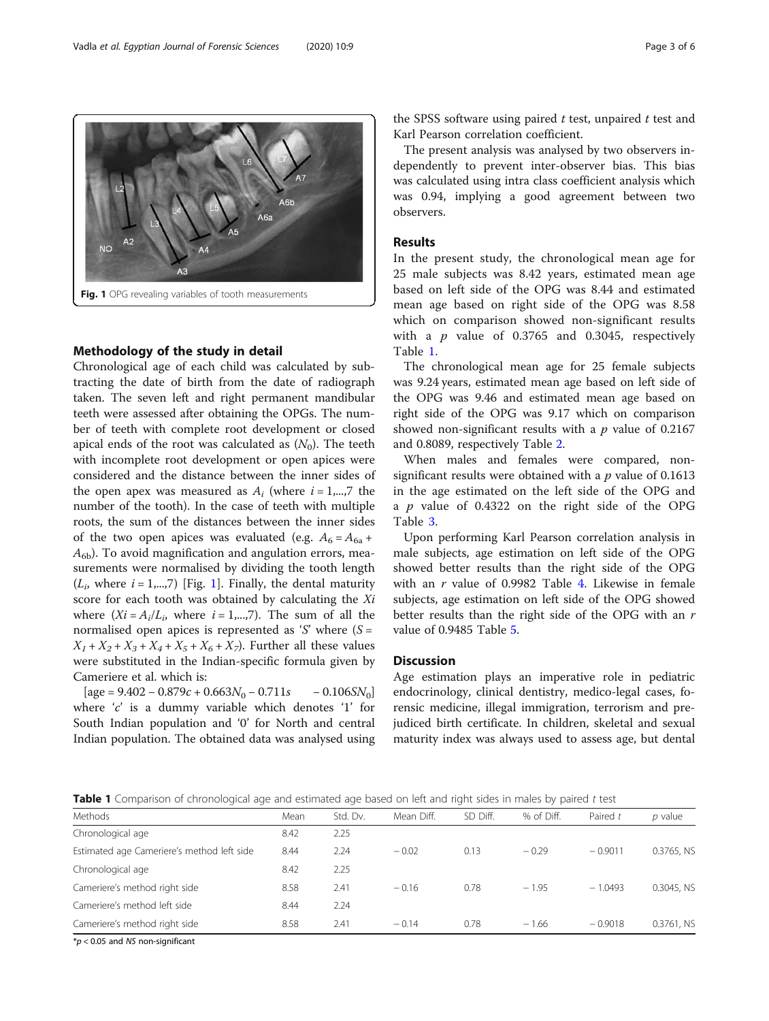Chronological age of each child was calculated by subtracting the date of birth from the date of radiograph taken. The seven left and right permanent mandibular teeth were assessed after obtaining the OPGs. The number of teeth with complete root development or closed apical ends of the root was calculated as  $(N_0)$ . The teeth with incomplete root development or open apices were considered and the distance between the inner sides of the open apex was measured as  $A_i$  (where  $i = 1,...,7$  the number of the tooth). In the case of teeth with multiple roots, the sum of the distances between the inner sides of the two open apices was evaluated (e.g.  $A_6 = A_{6a} +$  $A_{6b}$ ). To avoid magnification and angulation errors, measurements were normalised by dividing the tooth length  $(L_i,$  where  $i = 1,...,7)$  [Fig. 1]. Finally, the dental maturity score for each tooth was obtained by calculating the Xi where  $(Xi = A_i/L_i)$ , where  $i = 1,...,7$ . The sum of all the normalised open apices is represented as 'S' where  $(S =$  $X_1 + X_2 + X_3 + X_4 + X_5 + X_6 + X_7$ . Further all these values were substituted in the Indian-specific formula given by Cameriere et al. which is:

 $[age = 9.402 - 0.879c + 0.663N_0 - 0.711s - 0.1065N_0]$ where 'c' is a dummy variable which denotes '1' for South Indian population and '0' for North and central Indian population. The obtained data was analysed using

the SPSS software using paired  $t$  test, unpaired  $t$  test and Karl Pearson correlation coefficient.

The present analysis was analysed by two observers independently to prevent inter-observer bias. This bias was calculated using intra class coefficient analysis which was 0.94, implying a good agreement between two observers.

## Results

In the present study, the chronological mean age for 25 male subjects was 8.42 years, estimated mean age based on left side of the OPG was 8.44 and estimated mean age based on right side of the OPG was 8.58 which on comparison showed non-significant results with a  $p$  value of 0.3765 and 0.3045, respectively Table 1.

The chronological mean age for 25 female subjects was 9.24 years, estimated mean age based on left side of the OPG was 9.46 and estimated mean age based on right side of the OPG was 9.17 which on comparison showed non-significant results with a  $p$  value of 0.2167 and 0.8089, respectively Table [2.](#page-3-0)

When males and females were compared, nonsignificant results were obtained with a  $p$  value of 0.1613 in the age estimated on the left side of the OPG and a  $p$  value of 0.4322 on the right side of the OPG Table [3](#page-3-0).

Upon performing Karl Pearson correlation analysis in male subjects, age estimation on left side of the OPG showed better results than the right side of the OPG with an  $r$  value of 0.9982 Table [4.](#page-4-0) Likewise in female subjects, age estimation on left side of the OPG showed better results than the right side of the OPG with an r value of 0.9485 Table [5](#page-4-0).

## **Discussion**

Age estimation plays an imperative role in pediatric endocrinology, clinical dentistry, medico-legal cases, forensic medicine, illegal immigration, terrorism and prejudiced birth certificate. In children, skeletal and sexual maturity index was always used to assess age, but dental

Table 1 Comparison of chronological age and estimated age based on left and right sides in males by paired t test

| Methods                                    | Mean | Std. Dv. | Mean Diff. | SD Diff. | % of Diff. | Paired t  | $p$ value  |
|--------------------------------------------|------|----------|------------|----------|------------|-----------|------------|
| Chronological age                          | 8.42 | 2.25     |            |          |            |           |            |
| Estimated age Cameriere's method left side | 8.44 | 2.24     | $-0.02$    | 0.13     | $-0.29$    | $-0.9011$ | 0.3765, NS |
| Chronological age                          | 8.42 | 2.25     |            |          |            |           |            |
| Cameriere's method right side              | 8.58 | 2.41     | $-0.16$    | 0.78     | $-1.95$    | $-1.0493$ | 0.3045, NS |
| Cameriere's method left side               | 8.44 | 2.24     |            |          |            |           |            |
| Cameriere's method right side              | 8.58 | 2.41     | $-0.14$    | 0.78     | $-1.66$    | $-0.9018$ | 0.3761, NS |
| $\cdots$<br>$\sim$ $\sim$<br>.             |      |          |            |          |            |           |            |

 $*p$  < 0.05 and NS non-significant

Methodology of the study in detail

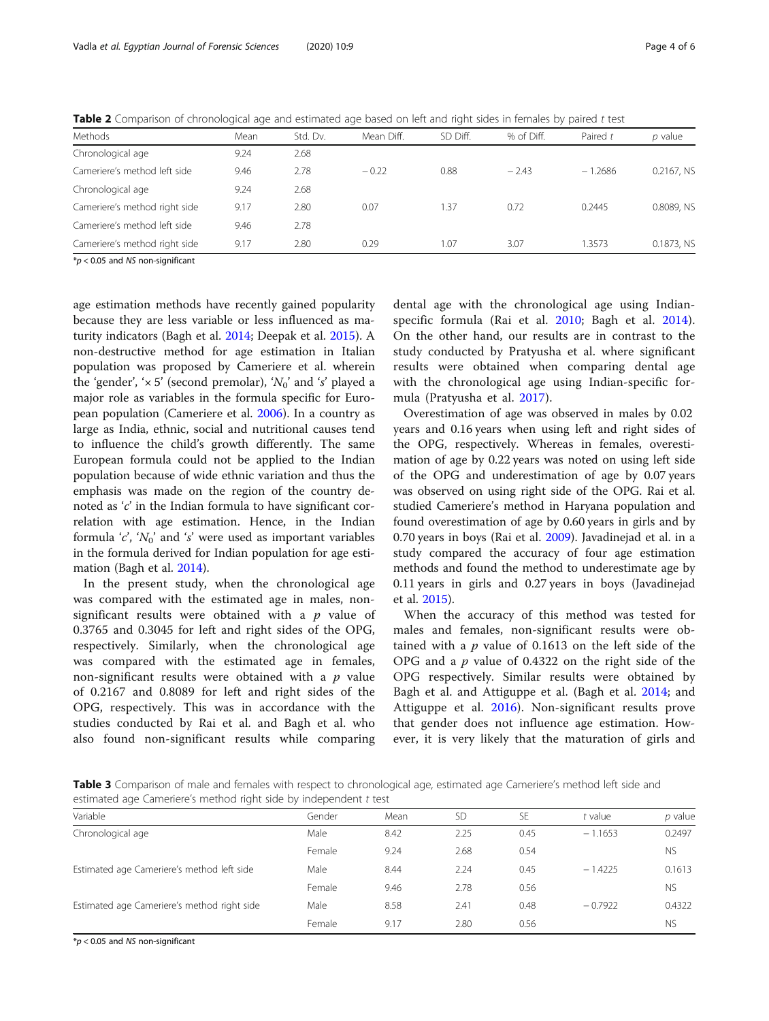<span id="page-3-0"></span>Table 2 Comparison of chronological age and estimated age based on left and right sides in females by paired t test

| Methods                       | Mean | Std. Dv. | Mean Diff. | SD Diff. | % of Diff. | Paired t  | $p$ value  |
|-------------------------------|------|----------|------------|----------|------------|-----------|------------|
| Chronological age             | 9.24 | 2.68     |            |          |            |           |            |
| Cameriere's method left side  | 9.46 | 2.78     | $-0.22$    | 0.88     | $-2.43$    | $-1.2686$ | 0.2167, NS |
| Chronological age             | 9.24 | 2.68     |            |          |            |           |            |
| Cameriere's method right side | 9.17 | 2.80     | 0.07       | 1.37     | 0.72       | 0.2445    | 0.8089, NS |
| Cameriere's method left side  | 9.46 | 2.78     |            |          |            |           |            |
| Cameriere's method right side | 9.17 | 2.80     | 0.29       | 1.07     | 3.07       | 1.3573    | 0.1873, NS |
|                               |      |          |            |          |            |           |            |

 $*p$  < 0.05 and NS non-significant

age estimation methods have recently gained popularity because they are less variable or less influenced as maturity indicators (Bagh et al. [2014](#page-4-0); Deepak et al. [2015](#page-4-0)). A non-destructive method for age estimation in Italian population was proposed by Cameriere et al. wherein the 'gender', ' $\times$  5' (second premolar), ' $N_0$ ' and 's' played a major role as variables in the formula specific for European population (Cameriere et al. [2006\)](#page-4-0). In a country as large as India, ethnic, social and nutritional causes tend to influence the child's growth differently. The same European formula could not be applied to the Indian population because of wide ethnic variation and thus the emphasis was made on the region of the country denoted as 'c' in the Indian formula to have significant correlation with age estimation. Hence, in the Indian formula 'c', ' $N_0$ ' and 's' were used as important variables in the formula derived for Indian population for age estimation (Bagh et al. [2014\)](#page-4-0).

In the present study, when the chronological age was compared with the estimated age in males, nonsignificant results were obtained with a  $p$  value of 0.3765 and 0.3045 for left and right sides of the OPG, respectively. Similarly, when the chronological age was compared with the estimated age in females, non-significant results were obtained with a  $p$  value of 0.2167 and 0.8089 for left and right sides of the OPG, respectively. This was in accordance with the studies conducted by Rai et al. and Bagh et al. who also found non-significant results while comparing

dental age with the chronological age using Indianspecific formula (Rai et al. [2010](#page-5-0); Bagh et al. [2014](#page-4-0)). On the other hand, our results are in contrast to the study conducted by Pratyusha et al. where significant results were obtained when comparing dental age with the chronological age using Indian-specific formula (Pratyusha et al. [2017](#page-5-0)).

Overestimation of age was observed in males by 0.02 years and 0.16 years when using left and right sides of the OPG, respectively. Whereas in females, overestimation of age by 0.22 years was noted on using left side of the OPG and underestimation of age by 0.07 years was observed on using right side of the OPG. Rai et al. studied Cameriere's method in Haryana population and found overestimation of age by 0.60 years in girls and by 0.70 years in boys (Rai et al. [2009](#page-5-0)). Javadinejad et al. in a study compared the accuracy of four age estimation methods and found the method to underestimate age by 0.11 years in girls and 0.27 years in boys (Javadinejad et al. [2015\)](#page-4-0).

When the accuracy of this method was tested for males and females, non-significant results were obtained with a  $p$  value of 0.1613 on the left side of the OPG and a  $p$  value of 0.4322 on the right side of the OPG respectively. Similar results were obtained by Bagh et al. and Attiguppe et al. (Bagh et al. [2014](#page-4-0); and Attiguppe et al. [2016\)](#page-4-0). Non-significant results prove that gender does not influence age estimation. However, it is very likely that the maturation of girls and

Table 3 Comparison of male and females with respect to chronological age, estimated age Cameriere's method left side and estimated age Cameriere's method right side by independent t test

| Variable                                    | Gender | Mean | <b>SD</b> | <b>SE</b> | t value   | p value   |
|---------------------------------------------|--------|------|-----------|-----------|-----------|-----------|
| Chronological age                           | Male   | 8.42 | 2.25      | 0.45      | $-1.1653$ | 0.2497    |
|                                             | Female | 9.24 | 2.68      | 0.54      |           | <b>NS</b> |
| Estimated age Cameriere's method left side  | Male   | 8.44 | 2.24      | 0.45      | $-1.4225$ | 0.1613    |
|                                             | Female | 9.46 | 2.78      | 0.56      |           | <b>NS</b> |
| Estimated age Cameriere's method right side | Male   | 8.58 | 2.41      | 0.48      | $-0.7922$ | 0.4322    |
|                                             | Female | 9.17 | 2.80      | 0.56      |           | <b>NS</b> |

 $*p$  < 0.05 and NS non-significant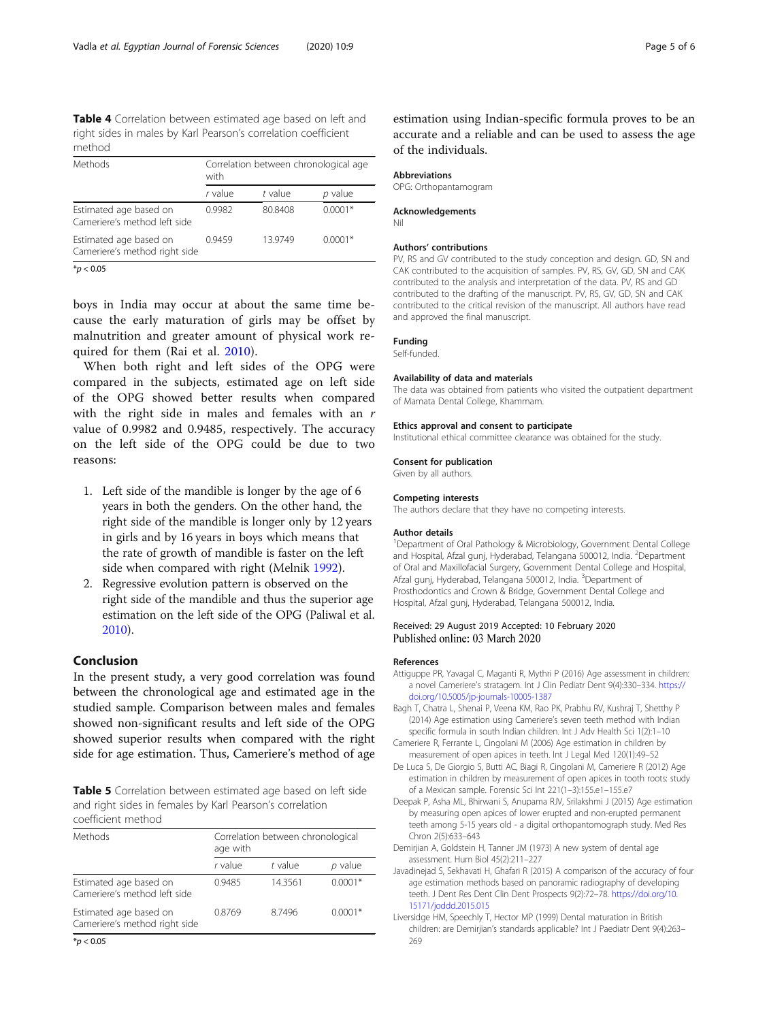<span id="page-4-0"></span>Table 4 Correlation between estimated age based on left and right sides in males by Karl Pearson's correlation coefficient method

| Methods                                                 | Correlation between chronological age<br>with |           |           |  |  |
|---------------------------------------------------------|-----------------------------------------------|-----------|-----------|--|--|
|                                                         | r value                                       | $t$ value | p value   |  |  |
| Estimated age based on<br>Cameriere's method left side  | 0.9982                                        | 80.8408   | $0.0001*$ |  |  |
| Estimated age based on<br>Cameriere's method right side | 0.9459                                        | 13.9749   | $0.0001*$ |  |  |

 $*$ *p* < 0.05

boys in India may occur at about the same time because the early maturation of girls may be offset by malnutrition and greater amount of physical work required for them (Rai et al. [2010](#page-5-0)).

When both right and left sides of the OPG were compared in the subjects, estimated age on left side of the OPG showed better results when compared with the right side in males and females with an  $r$ value of 0.9982 and 0.9485, respectively. The accuracy on the left side of the OPG could be due to two reasons:

- 1. Left side of the mandible is longer by the age of 6 years in both the genders. On the other hand, the right side of the mandible is longer only by 12 years in girls and by 16 years in boys which means that the rate of growth of mandible is faster on the left side when compared with right (Melnik [1992\)](#page-5-0).
- 2. Regressive evolution pattern is observed on the right side of the mandible and thus the superior age estimation on the left side of the OPG (Paliwal et al. [2010\)](#page-5-0).

# Conclusion

In the present study, a very good correlation was found between the chronological age and estimated age in the studied sample. Comparison between males and females showed non-significant results and left side of the OPG showed superior results when compared with the right side for age estimation. Thus, Cameriere's method of age

Table 5 Correlation between estimated age based on left side and right sides in females by Karl Pearson's correlation coefficient method

| Methods                                                 | Correlation between chronological<br>age with |           |           |  |  |
|---------------------------------------------------------|-----------------------------------------------|-----------|-----------|--|--|
|                                                         | r value                                       | $t$ value | $p$ value |  |  |
| Estimated age based on<br>Cameriere's method left side  | 0.9485                                        | 14.3561   | $0.0001*$ |  |  |
| Estimated age based on<br>Cameriere's method right side | 0.8769                                        | 8.7496    | $0.0001*$ |  |  |

 $*$ *p* < 0.05

# Abbreviations

OPG: Orthopantamogram

# Acknowledgements

Nil

## Authors' contributions

PV, RS and GV contributed to the study conception and design. GD, SN and CAK contributed to the acquisition of samples. PV, RS, GV, GD, SN and CAK contributed to the analysis and interpretation of the data. PV, RS and GD contributed to the drafting of the manuscript. PV, RS, GV, GD, SN and CAK contributed to the critical revision of the manuscript. All authors have read and approved the final manuscript.

#### Funding

Self-funded.

### Availability of data and materials

The data was obtained from patients who visited the outpatient department of Mamata Dental College, Khammam.

# Ethics approval and consent to participate

Institutional ethical committee clearance was obtained for the study.

## Consent for publication

Given by all authors.

#### Competing interests

The authors declare that they have no competing interests.

#### Author details

<sup>1</sup>Department of Oral Pathology & Microbiology, Government Dental College and Hospital, Afzal gunj, Hyderabad, Telangana 500012, India. <sup>2</sup>Department of Oral and Maxillofacial Surgery, Government Dental College and Hospital, Afzal gunj, Hyderabad, Telangana 500012, India. <sup>3</sup>Department of Prosthodontics and Crown & Bridge, Government Dental College and Hospital, Afzal gunj, Hyderabad, Telangana 500012, India.

## Received: 29 August 2019 Accepted: 10 February 2020 Published online: 03 March 2020

#### References

- Attiguppe PR, Yavagal C, Maganti R, Mythri P (2016) Age assessment in children: a novel Cameriere's stratagem. Int J Clin Pediatr Dent 9(4):330–334. [https://](https://doi.org/10.5005/jp-journals-10005-1387) [doi.org/10.5005/jp-journals-10005-1387](https://doi.org/10.5005/jp-journals-10005-1387)
- Bagh T, Chatra L, Shenai P, Veena KM, Rao PK, Prabhu RV, Kushraj T, Shetthy P (2014) Age estimation using Cameriere's seven teeth method with Indian specific formula in south Indian children. Int J Adv Health Sci 1(2):1–10
- Cameriere R, Ferrante L, Cingolani M (2006) Age estimation in children by measurement of open apices in teeth. Int J Legal Med 120(1):49–52
- De Luca S, De Giorgio S, Butti AC, Biagi R, Cingolani M, Cameriere R (2012) Age estimation in children by measurement of open apices in tooth roots: study of a Mexican sample. Forensic Sci Int 221(1–3):155.e1–155.e7
- Deepak P, Asha ML, Bhirwani S, Anupama RJV, Srilakshmi J (2015) Age estimation by measuring open apices of lower erupted and non-erupted permanent teeth among 5-15 years old - a digital orthopantomograph study. Med Res Chron 2(5):633–643
- Demirjian A, Goldstein H, Tanner JM (1973) A new system of dental age assessment. Hum Biol 45(2):211–227
- Javadinejad S, Sekhavati H, Ghafari R (2015) A comparison of the accuracy of four age estimation methods based on panoramic radiography of developing teeth. J Dent Res Dent Clin Dent Prospects 9(2):72–78. [https://doi.org/10.](https://doi.org/10.15171/joddd.2015.015) [15171/joddd.2015.015](https://doi.org/10.15171/joddd.2015.015)
- Liversidge HM, Speechly T, Hector MP (1999) Dental maturation in British children: are Demirjian's standards applicable? Int J Paediatr Dent 9(4):263– 269